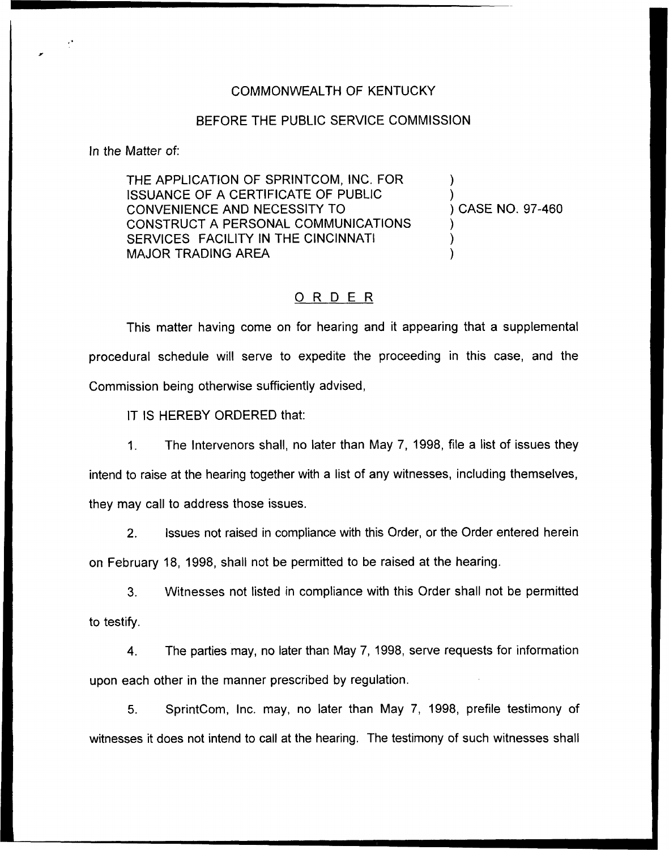## COMMONWEALTH OF KENTUCKY

## BEFORE THE PUBLIC SERVICE COMMISSION

In the Matter of:

THE APPLICATION OF SPRINTCOM, INC. FOR ISSUANCE OF A CERTIFICATE OF PUBLIC CONVENIENCE AND NECESSITY TO CONSTRUCT A PERSONAL COMMUNICATIONS SERVICES FACILITY IN THE CINCINNATI MAJOR TRADING AREA

) CASE NO. 97-460

) )

) ) )

## ORDER

This matter having come on for hearing and it appearing that a supplemental procedural schedule will serve to expedite the proceeding in this case, and the Commission being otherwise sufficiently advised,

IT IS HEREBY ORDERED that:

1. The Intervenors shall, no later than May 7, 1998, file a list of issues they intend to raise at the hearing together with a list of any witnesses, including themselves, they may call to address those issues.

2, Issues not raised in compliance with this Order, or the Order entered herein on February 18, 1998, shall not be permitted to be raised at the hearing.

3. Witnesses not listed in compliance with this Order shall not be permitted to testify.

4. The parties may, no later than May 7, 1998, serve requests for information upon each other in the manner prescribed by regulation.

5. SprintCom, Inc. may, no later than May 7, 1998, prefile testimony of witnesses it does not intend to call at the hearing. The testimony of such witnesses shall